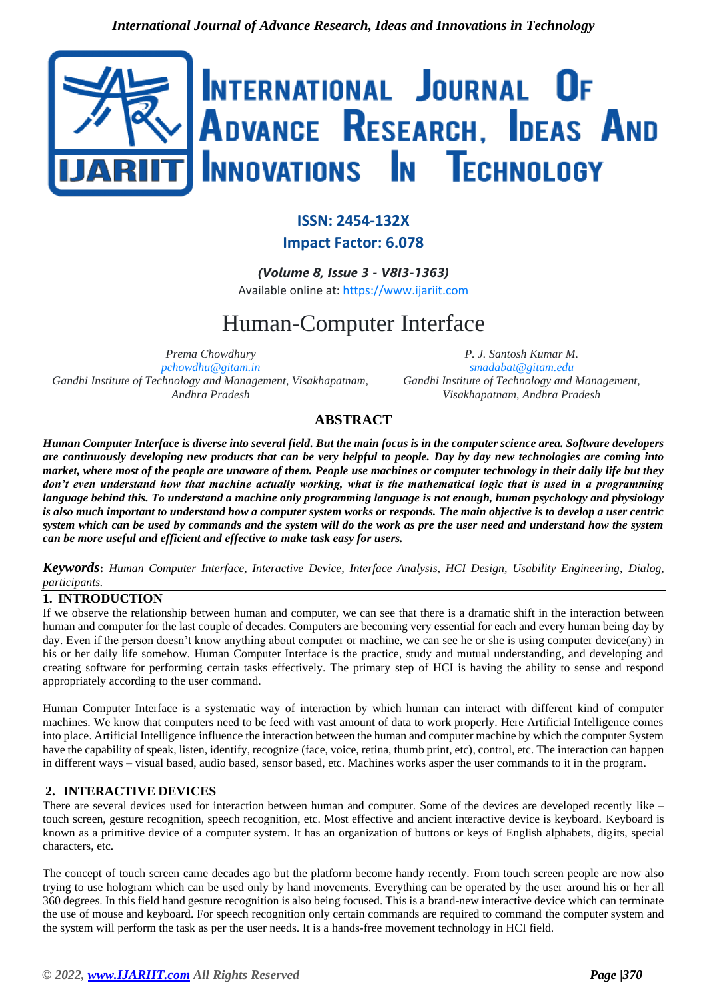

## **ISSN: 2454-132X Impact Factor: 6.078**

*(Volume 8, Issue 3 - V8I3-1363)*

Available online at: [https://www.ijariit.com](https://www.ijariit.com/?utm_source=pdf&utm_medium=edition&utm_campaign=OmAkSols&utm_term=V8I3-1363)

# Human-Computer Interface

*Prema Chowdhury [pchowdhu@gitam.in](mailto:pchowdhu@gitam.in) Gandhi Institute of Technology and Management, Visakhapatnam, Andhra Pradesh*

*P. J. Santosh Kumar M. [smadabat@gitam.edu](mailto:smadabat@gitam.edu) Gandhi Institute of Technology and Management, Visakhapatnam, Andhra Pradesh*

### **ABSTRACT**

*Human Computer Interface is diverse into several field. But the main focus is in the computer science area. Software developers are continuously developing new products that can be very helpful to people. Day by day new technologies are coming into market, where most of the people are unaware of them. People use machines or computer technology in their daily life but they don't even understand how that machine actually working, what is the mathematical logic that is used in a programming language behind this. To understand a machine only programming language is not enough, human psychology and physiology is also much important to understand how a computer system works or responds. The main objective is to develop a user centric system which can be used by commands and the system will do the work as pre the user need and understand how the system can be more useful and efficient and effective to make task easy for users.*

*Keywords***:** *Human Computer Interface, Interactive Device, Interface Analysis, HCI Design, Usability Engineering, Dialog, participants.*

#### **1. INTRODUCTION**

If we observe the relationship between human and computer, we can see that there is a dramatic shift in the interaction between human and computer for the last couple of decades. Computers are becoming very essential for each and every human being day by day. Even if the person doesn't know anything about computer or machine, we can see he or she is using computer device(any) in his or her daily life somehow. Human Computer Interface is the practice, study and mutual understanding, and developing and creating software for performing certain tasks effectively. The primary step of HCI is having the ability to sense and respond appropriately according to the user command.

Human Computer Interface is a systematic way of interaction by which human can interact with different kind of computer machines. We know that computers need to be feed with vast amount of data to work properly. Here Artificial Intelligence comes into place. Artificial Intelligence influence the interaction between the human and computer machine by which the computer System have the capability of speak, listen, identify, recognize (face, voice, retina, thumb print, etc), control, etc. The interaction can happen in different ways – visual based, audio based, sensor based, etc. Machines works asper the user commands to it in the program.

#### **2. INTERACTIVE DEVICES**

There are several devices used for interaction between human and computer. Some of the devices are developed recently like – touch screen, gesture recognition, speech recognition, etc. Most effective and ancient interactive device is keyboard. Keyboard is known as a primitive device of a computer system. It has an organization of buttons or keys of English alphabets, digits, special characters, etc.

The concept of touch screen came decades ago but the platform become handy recently. From touch screen people are now also trying to use hologram which can be used only by hand movements. Everything can be operated by the user around his or her all 360 degrees. In this field hand gesture recognition is also being focused. This is a brand-new interactive device which can terminate the use of mouse and keyboard. For speech recognition only certain commands are required to command the computer system and the system will perform the task as per the user needs. It is a hands-free movement technology in HCI field.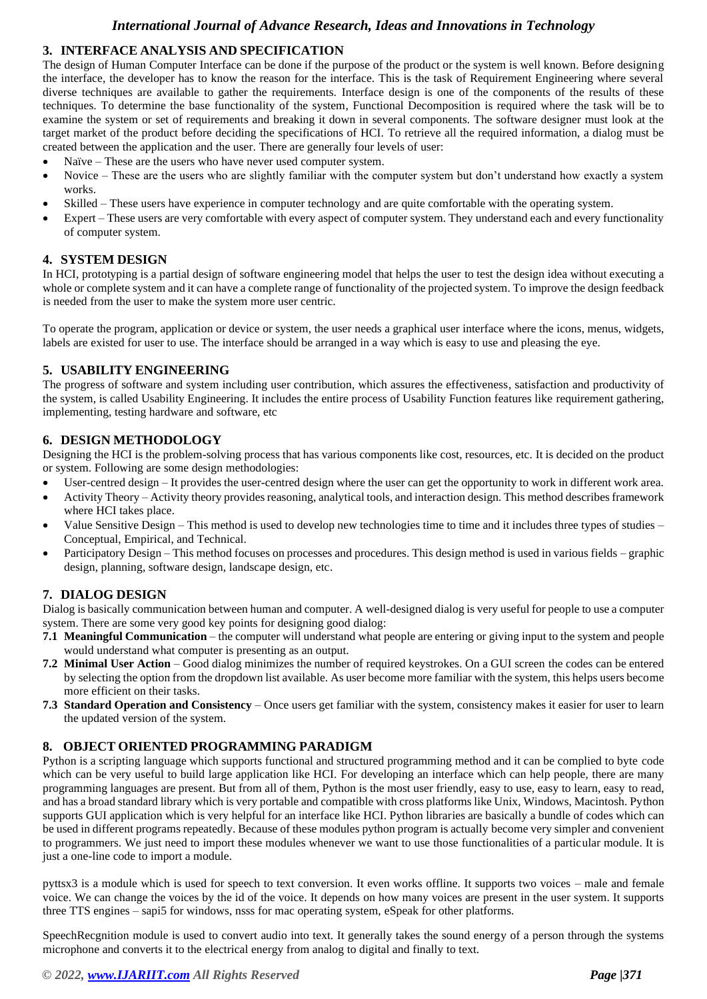#### *International Journal of Advance Research, Ideas and Innovations in Technology*

#### **3. INTERFACE ANALYSIS AND SPECIFICATION**

The design of Human Computer Interface can be done if the purpose of the product or the system is well known. Before designing the interface, the developer has to know the reason for the interface. This is the task of Requirement Engineering where several diverse techniques are available to gather the requirements. Interface design is one of the components of the results of these techniques. To determine the base functionality of the system, Functional Decomposition is required where the task will be to examine the system or set of requirements and breaking it down in several components. The software designer must look at the target market of the product before deciding the specifications of HCI. To retrieve all the required information, a dialog must be created between the application and the user. There are generally four levels of user:

- Naïve These are the users who have never used computer system.
- Novice These are the users who are slightly familiar with the computer system but don't understand how exactly a system works.
- Skilled These users have experience in computer technology and are quite comfortable with the operating system.
- Expert These users are very comfortable with every aspect of computer system. They understand each and every functionality of computer system.

#### **4. SYSTEM DESIGN**

In HCI, prototyping is a partial design of software engineering model that helps the user to test the design idea without executing a whole or complete system and it can have a complete range of functionality of the projected system. To improve the design feedback is needed from the user to make the system more user centric.

To operate the program, application or device or system, the user needs a graphical user interface where the icons, menus, widgets, labels are existed for user to use. The interface should be arranged in a way which is easy to use and pleasing the eye.

#### **5. USABILITY ENGINEERING**

The progress of software and system including user contribution, which assures the effectiveness, satisfaction and productivity of the system, is called Usability Engineering. It includes the entire process of Usability Function features like requirement gathering, implementing, testing hardware and software, etc

#### **6. DESIGN METHODOLOGY**

Designing the HCI is the problem-solving process that has various components like cost, resources, etc. It is decided on the product or system. Following are some design methodologies:

- User-centred design It provides the user-centred design where the user can get the opportunity to work in different work area.
- Activity Theory Activity theory provides reasoning, analytical tools, and interaction design. This method describes framework where HCI takes place.
- Value Sensitive Design This method is used to develop new technologies time to time and it includes three types of studies Conceptual, Empirical, and Technical.
- Participatory Design This method focuses on processes and procedures. This design method is used in various fields graphic design, planning, software design, landscape design, etc.

#### **7. DIALOG DESIGN**

Dialog is basically communication between human and computer. A well-designed dialog is very useful for people to use a computer system. There are some very good key points for designing good dialog:

- **7.1 Meaningful Communication** the computer will understand what people are entering or giving input to the system and people would understand what computer is presenting as an output.
- **7.2 Minimal User Action** Good dialog minimizes the number of required keystrokes. On a GUI screen the codes can be entered by selecting the option from the dropdown list available. As user become more familiar with the system, this helps users become more efficient on their tasks.
- **7.3 Standard Operation and Consistency** Once users get familiar with the system, consistency makes it easier for user to learn the updated version of the system.

#### **8. OBJECT ORIENTED PROGRAMMING PARADIGM**

Python is a scripting language which supports functional and structured programming method and it can be complied to byte code which can be very useful to build large application like HCI. For developing an interface which can help people, there are many programming languages are present. But from all of them, Python is the most user friendly, easy to use, easy to learn, easy to read, and has a broad standard library which is very portable and compatible with cross platforms like Unix, Windows, Macintosh. Python supports GUI application which is very helpful for an interface like HCI. Python libraries are basically a bundle of codes which can be used in different programs repeatedly. Because of these modules python program is actually become very simpler and convenient to programmers. We just need to import these modules whenever we want to use those functionalities of a particular module. It is just a one-line code to import a module.

pyttsx3 is a module which is used for speech to text conversion. It even works offline. It supports two voices – male and female voice. We can change the voices by the id of the voice. It depends on how many voices are present in the user system. It supports three TTS engines – sapi5 for windows, nsss for mac operating system, eSpeak for other platforms.

SpeechRecgnition module is used to convert audio into text. It generally takes the sound energy of a person through the systems microphone and converts it to the electrical energy from analog to digital and finally to text.